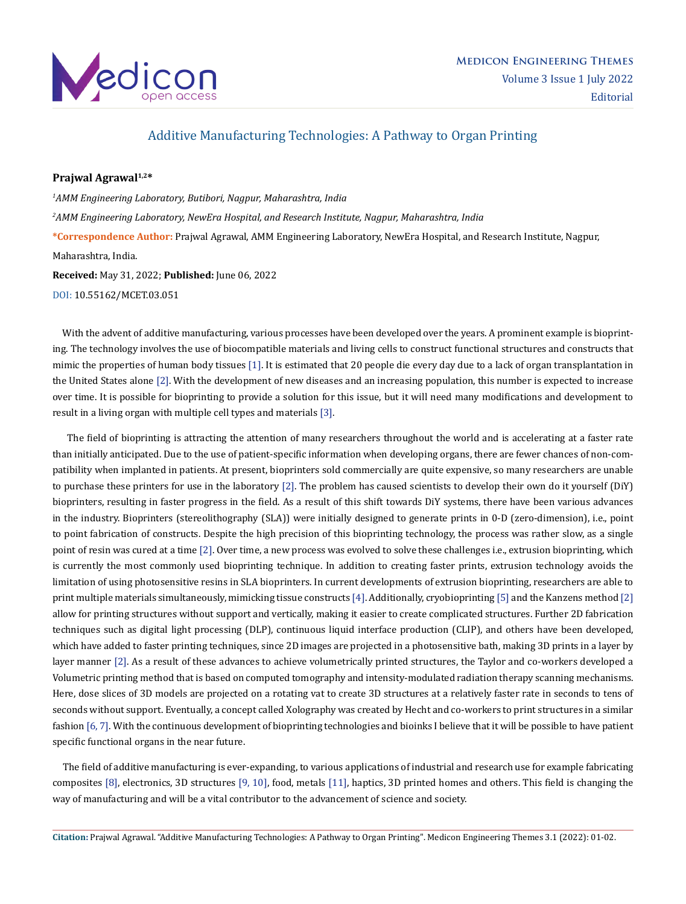

## Additive Manufacturing Technologies: A Pathway to Organ Printing

## **Prajwal Agrawal1,2\***

*1 AMM Engineering Laboratory, Butibori, Nagpur, Maharashtra, India 2 AMM Engineering Laboratory, NewEra Hospital, and Research Institute, Nagpur, Maharashtra, India* **\*Correspondence Author:** Prajwal Agrawal, AMM Engineering Laboratory, NewEra Hospital, and Research Institute, Nagpur, Maharashtra, India. **Received:** May 31, 2022; **Published:** June 06, 2022

[DOI: 10.55162/MCET.03.051](https://doi.org/10.55162/MCET.03.051)

 With the advent of additive manufacturing, various processes have been developed over the years. A prominent example is bioprinting. The technology involves the use of biocompatible materials and living cells to construct functional structures and constructs that mimic the properties of human body tissues [1]. It is estimated that 20 people die every day due to a lack of organ transplantation in the United States alone [2]. With the development of new diseases and an increasing population, this number is expected to increase over time. It is possible for bioprinting to provide a solution for this issue, but it will need many modifications and development to result in a living organ with multiple cell types and materials [3].

 The field of bioprinting is attracting the attention of many researchers throughout the world and is accelerating at a faster rate than initially anticipated. Due to the use of patient-specific information when developing organs, there are fewer chances of non-compatibility when implanted in patients. At present, bioprinters sold commercially are quite expensive, so many researchers are unable to purchase these printers for use in the laboratory [2]. The problem has caused scientists to develop their own do it yourself (DiY) bioprinters, resulting in faster progress in the field. As a result of this shift towards DiY systems, there have been various advances in the industry. Bioprinters (stereolithography (SLA)) were initially designed to generate prints in 0-D (zero-dimension), i.e., point to point fabrication of constructs. Despite the high precision of this bioprinting technology, the process was rather slow, as a single point of resin was cured at a time [2]. Over time, a new process was evolved to solve these challenges i.e., extrusion bioprinting, which is currently the most commonly used bioprinting technique. In addition to creating faster prints, extrusion technology avoids the limitation of using photosensitive resins in SLA bioprinters. In current developments of extrusion bioprinting, researchers are able to print multiple materials simultaneously, mimicking tissue constructs [4]. Additionally, cryobioprinting [5] and the Kanzens method [2] allow for printing structures without support and vertically, making it easier to create complicated structures. Further 2D fabrication techniques such as digital light processing (DLP), continuous liquid interface production (CLIP), and others have been developed, which have added to faster printing techniques, since 2D images are projected in a photosensitive bath, making 3D prints in a layer by layer manner [2]. As a result of these advances to achieve volumetrically printed structures, the Taylor and co-workers developed a Volumetric printing method that is based on computed tomography and intensity-modulated radiation therapy scanning mechanisms. Here, dose slices of 3D models are projected on a rotating vat to create 3D structures at a relatively faster rate in seconds to tens of seconds without support. Eventually, a concept called Xolography was created by Hecht and co-workers to print structures in a similar fashion [6, 7]. With the continuous development of bioprinting technologies and bioinks I believe that it will be possible to have patient specific functional organs in the near future.

 The field of additive manufacturing is ever-expanding, to various applications of industrial and research use for example fabricating composites [8], electronics, 3D structures [9, 10], food, metals [11], haptics, 3D printed homes and others. This field is changing the way of manufacturing and will be a vital contributor to the advancement of science and society.

**Citation:** Prajwal Agrawal. "Additive Manufacturing Technologies: A Pathway to Organ Printing". Medicon Engineering Themes 3.1 (2022): 01-02.